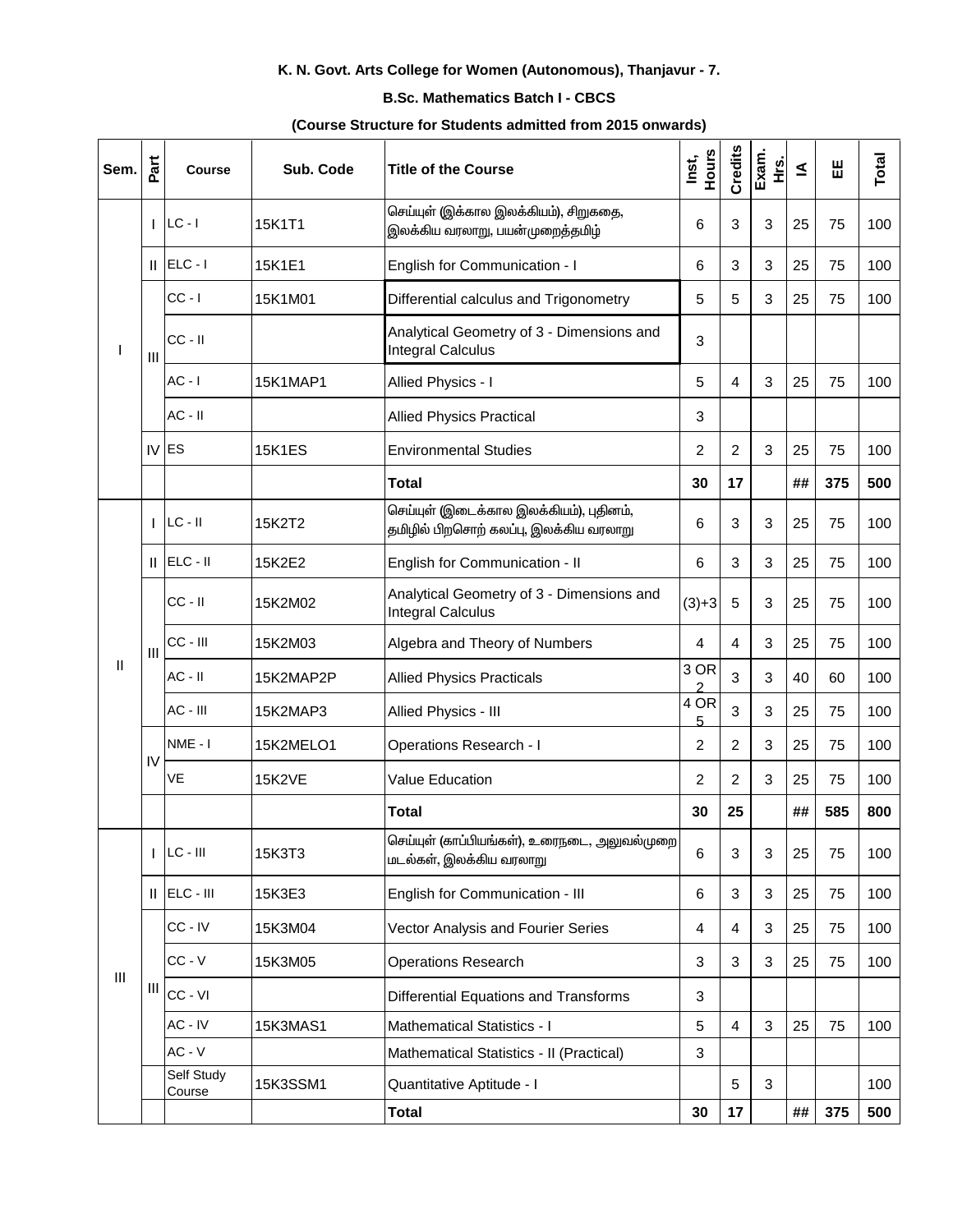# K. N. Govt. Arts College for Women (Autonomous), Thanjavur - 7.

### **B.Sc. Mathematics Batch I - CBCS**

#### (Course Structure for Students admitted from 2015 onwards)

| Sem.         | Part           | <b>Course</b>        | Sub. Code     | <b>Title of the Course</b>                                                        | Hours<br>Inst, | Credits | Exam.<br>ىخ<br>± | ≤  | 出   | Total |
|--------------|----------------|----------------------|---------------|-----------------------------------------------------------------------------------|----------------|---------|------------------|----|-----|-------|
|              | T              | $LC - I$             | 15K1T1        | செய்யுள் (இக்கால இலக்கியம்), சிறுகதை,<br>இலக்கிய வரலாறு, பயன்முறைத்தமிழ்          | 6              | 3       | 3                | 25 | 75  | 100   |
|              | Ш              | $ELC - I$            | 15K1E1        | English for Communication - I                                                     | 6              | 3       | 3                | 25 | 75  | 100   |
|              |                | $CC - I$             | 15K1M01       | Differential calculus and Trigonometry                                            | 5              | 5       | 3                | 25 | 75  | 100   |
|              | $\mathbf{III}$ | $CC - II$            |               | Analytical Geometry of 3 - Dimensions and<br><b>Integral Calculus</b>             | 3              |         |                  |    |     |       |
|              |                | $AC - I$             | 15K1MAP1      | Allied Physics - I                                                                | 5              | 4       | 3                | 25 | 75  | 100   |
|              |                | $AC - II$            |               | <b>Allied Physics Practical</b>                                                   | 3              |         |                  |    |     |       |
|              |                | IV ES                | <b>15K1ES</b> | <b>Environmental Studies</b>                                                      | 2              | 2       | 3                | 25 | 75  | 100   |
|              |                |                      |               | <b>Total</b>                                                                      | 30             | 17      |                  | ## | 375 | 500   |
|              |                | $LC - II$            | 15K2T2        | செய்யுள் (இடைக்கால இலக்கியம்), புதினம்,<br>தமிழில் பிறசொற் கலப்பு, இலக்கிய வரலாறு | 6              | 3       | 3                | 25 | 75  | 100   |
|              | Ш.             | $ ELC - II$          | 15K2E2        | English for Communication - II                                                    | 6              | 3       | 3                | 25 | 75  | 100   |
|              |                | $CC - II$            | 15K2M02       | Analytical Geometry of 3 - Dimensions and<br><b>Integral Calculus</b>             | $(3)+3$        | 5       | 3                | 25 | 75  | 100   |
|              | $\mathbf{III}$ | CC - III             | 15K2M03       | Algebra and Theory of Numbers                                                     | $\overline{4}$ | 4       | 3                | 25 | 75  | 100   |
| $\mathsf{I}$ |                | $AC - II$            | 15K2MAP2P     | <b>Allied Physics Practicals</b>                                                  | 3 OR<br>2      | 3       | 3                | 40 | 60  | 100   |
|              |                | AC - III             | 15K2MAP3      | Allied Physics - III                                                              | 4 OR<br>5      | 3       | 3                | 25 | 75  | 100   |
|              |                | NME-I                | 15K2MELO1     | <b>Operations Research - I</b>                                                    | $\overline{2}$ | 2       | 3                | 25 | 75  | 100   |
|              | IV             | VE                   | <b>15K2VE</b> | Value Education                                                                   | 2              | 2       | 3                | 25 | 75  | 100   |
|              |                |                      |               | <b>Total</b>                                                                      | 30             | 25      |                  | ## | 585 | 800   |
|              |                | $LC - III$           | 15K3T3        | செய்யுள் (காப்பியங்கள்), உரைநடை, அலுவல்முறை<br>மடல்கள், இலக்கிய வரலாறு            | 6              | 3       | $\sqrt{3}$       | 25 | 75  | 100   |
|              | Ш              | ELC - III            | 15K3E3        | English for Communication - III                                                   | 6              | 3       | 3                | 25 | 75  | 100   |
|              |                | CC-IV                | 15K3M04       | Vector Analysis and Fourier Series                                                | 4              | 4       | 3                | 25 | 75  | 100   |
|              |                | $CC - V$             | 15K3M05       | <b>Operations Research</b>                                                        | 3              | 3       | 3                | 25 | 75  | 100   |
|              | Ш              | CC - VI              |               | Differential Equations and Transforms                                             | 3              |         |                  |    |     |       |
|              |                | AC - IV              | 15K3MAS1      | <b>Mathematical Statistics - I</b>                                                | $\overline{5}$ | 4       | 3                | 25 | 75  | 100   |
|              | III            | $AC - V$             |               | Mathematical Statistics - II (Practical)                                          | $\sqrt{3}$     |         |                  |    |     |       |
|              |                | Self Study<br>Course | 15K3SSM1      | Quantitative Aptitude - I                                                         |                | 5       | 3                |    |     | 100   |
|              |                |                      |               | Total                                                                             | 30             | 17      |                  | ## | 375 | 500   |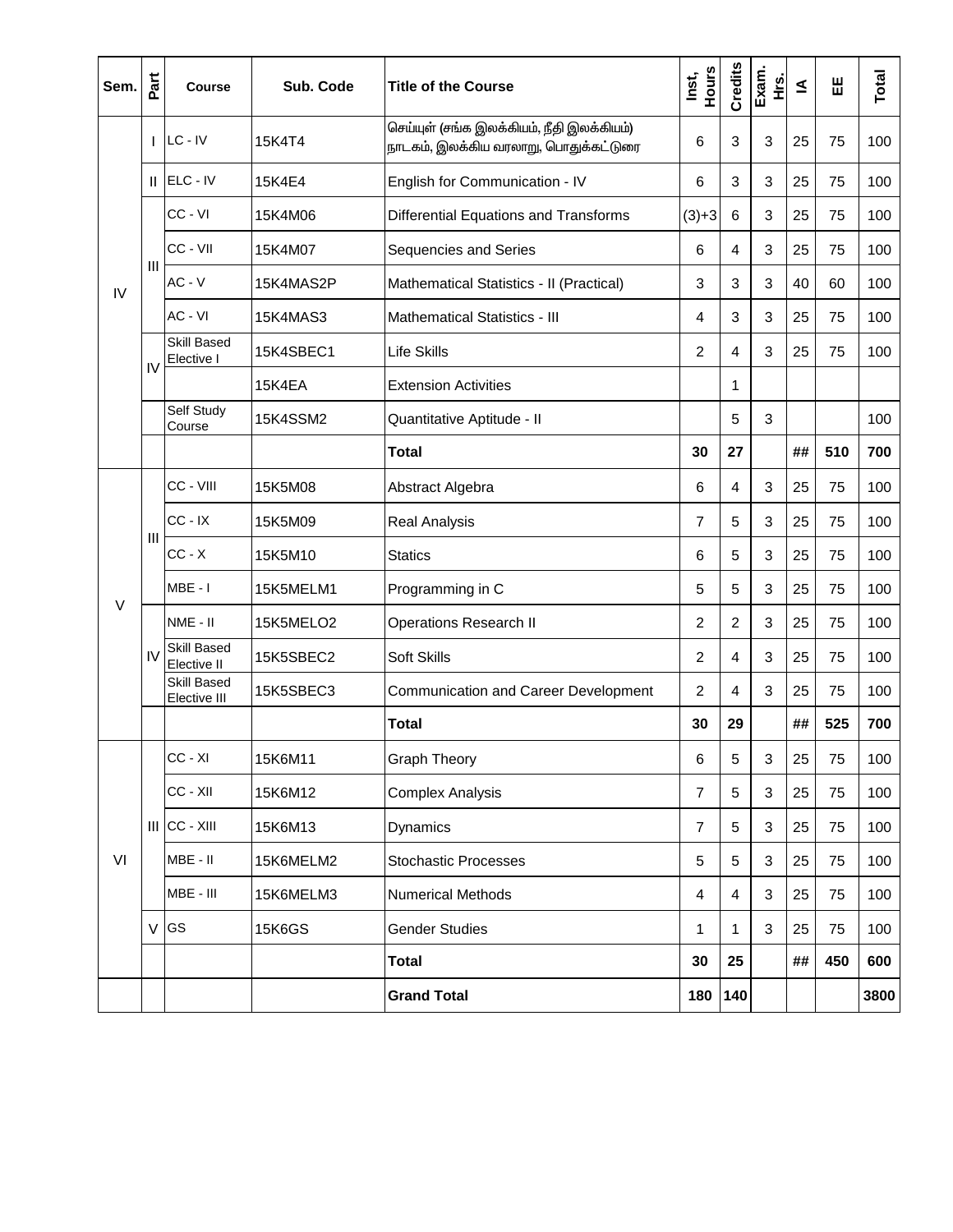| Sem.   | Part | <b>Course</b>               | Sub. Code     | <b>Title of the Course</b>                                                         | Hours<br>Inst, | <b>Credits</b> | Exam.<br>غ<br>± | $\leq$ | Ш   | Total |
|--------|------|-----------------------------|---------------|------------------------------------------------------------------------------------|----------------|----------------|-----------------|--------|-----|-------|
|        |      | $ $ LC - IV                 | 15K4T4        | செய்யுள் (சங்க இலக்கியம், நீதி இலக்கியம்)<br>நாடகம், இலக்கிய வரலாறு, பொதுக்கட்டுரை | 6              | 3              | 3               | 25     | 75  | 100   |
|        |      | $  $ ELC - IV               | 15K4E4        | English for Communication - IV                                                     | 6              | 3              | 3               | 25     | 75  | 100   |
|        |      | CC - VI                     | 15K4M06       | Differential Equations and Transforms                                              | $(3)+3$        | 6              | 3               | 25     | 75  | 100   |
|        |      | CC - VII                    | 15K4M07       | Sequencies and Series                                                              | 6              | 4              | 3               | 25     | 75  | 100   |
| IV     | Ш    | $AC - V$                    | 15K4MAS2P     | Mathematical Statistics - II (Practical)                                           | 3              | 3              | 3               | 40     | 60  | 100   |
|        |      | AC - VI                     | 15K4MAS3      | Mathematical Statistics - III                                                      | 4              | 3              | 3               | 25     | 75  | 100   |
|        |      | Skill Based<br>Elective I   | 15K4SBEC1     | <b>Life Skills</b>                                                                 | $\overline{2}$ | 4              | 3               | 25     | 75  | 100   |
|        | IV   |                             | 15K4EA        | <b>Extension Activities</b>                                                        |                | 1              |                 |        |     |       |
|        |      | Self Study<br>Course        | 15K4SSM2      | Quantitative Aptitude - II                                                         |                | 5              | 3               |        |     | 100   |
|        |      |                             |               | <b>Total</b>                                                                       | 30             | 27             |                 | ##     | 510 | 700   |
|        |      | CC - VIII                   | 15K5M08       | Abstract Algebra                                                                   | 6              | 4              | 3               | 25     | 75  | 100   |
|        |      | $CC - IX$                   | 15K5M09       | <b>Real Analysis</b>                                                               | $\overline{7}$ | 5              | 3               | 25     | 75  | 100   |
|        | Ш    | $CC - X$                    | 15K5M10       | <b>Statics</b>                                                                     | 6              | 5              | 3               | 25     | 75  | 100   |
|        |      | MBE - I                     | 15K5MELM1     | Programming in C                                                                   | 5              | 5              | 3               | 25     | 75  | 100   |
| $\vee$ | IV   | NME - II                    | 15K5MELO2     | <b>Operations Research II</b>                                                      | 2              | $\overline{c}$ | 3               | 25     | 75  | 100   |
|        |      | Skill Based<br>Elective II  | 15K5SBEC2     | Soft Skills                                                                        | 2              | 4              | 3               | 25     | 75  | 100   |
|        |      | Skill Based<br>Elective III | 15K5SBEC3     | <b>Communication and Career Development</b>                                        | 2              | 4              | 3               | 25     | 75  | 100   |
|        |      |                             |               | <b>Total</b>                                                                       | 30             | 29             |                 | ##     | 525 | 700   |
|        |      | CC - XI                     | 15K6M11       | <b>Graph Theory</b>                                                                | 6              | 5              | 3               | 25     | 75  | 100   |
|        |      | CC - XII                    | 15K6M12       | <b>Complex Analysis</b>                                                            | $\overline{7}$ | 5              | 3               | 25     | 75  | 100   |
|        |      | $III$ CC - $XIII$           | 15K6M13       | Dynamics                                                                           | 7              | 5              | $\mathfrak{B}$  | 25     | 75  | 100   |
| VI     |      | MBE - II                    | 15K6MELM2     | <b>Stochastic Processes</b>                                                        | 5              | 5              | 3               | 25     | 75  | 100   |
|        |      | MBE - III                   | 15K6MELM3     | <b>Numerical Methods</b>                                                           | 4              | 4              | $\mathfrak{B}$  | 25     | 75  | 100   |
|        |      | V GS                        | <b>15K6GS</b> | <b>Gender Studies</b>                                                              | 1              | $\mathbf{1}$   | $\mathbf{3}$    | 25     | 75  | 100   |
|        |      |                             |               | <b>Total</b>                                                                       | 30             | 25             |                 | ##     | 450 | 600   |
|        |      |                             |               | <b>Grand Total</b>                                                                 | 180            | 140            |                 |        |     | 3800  |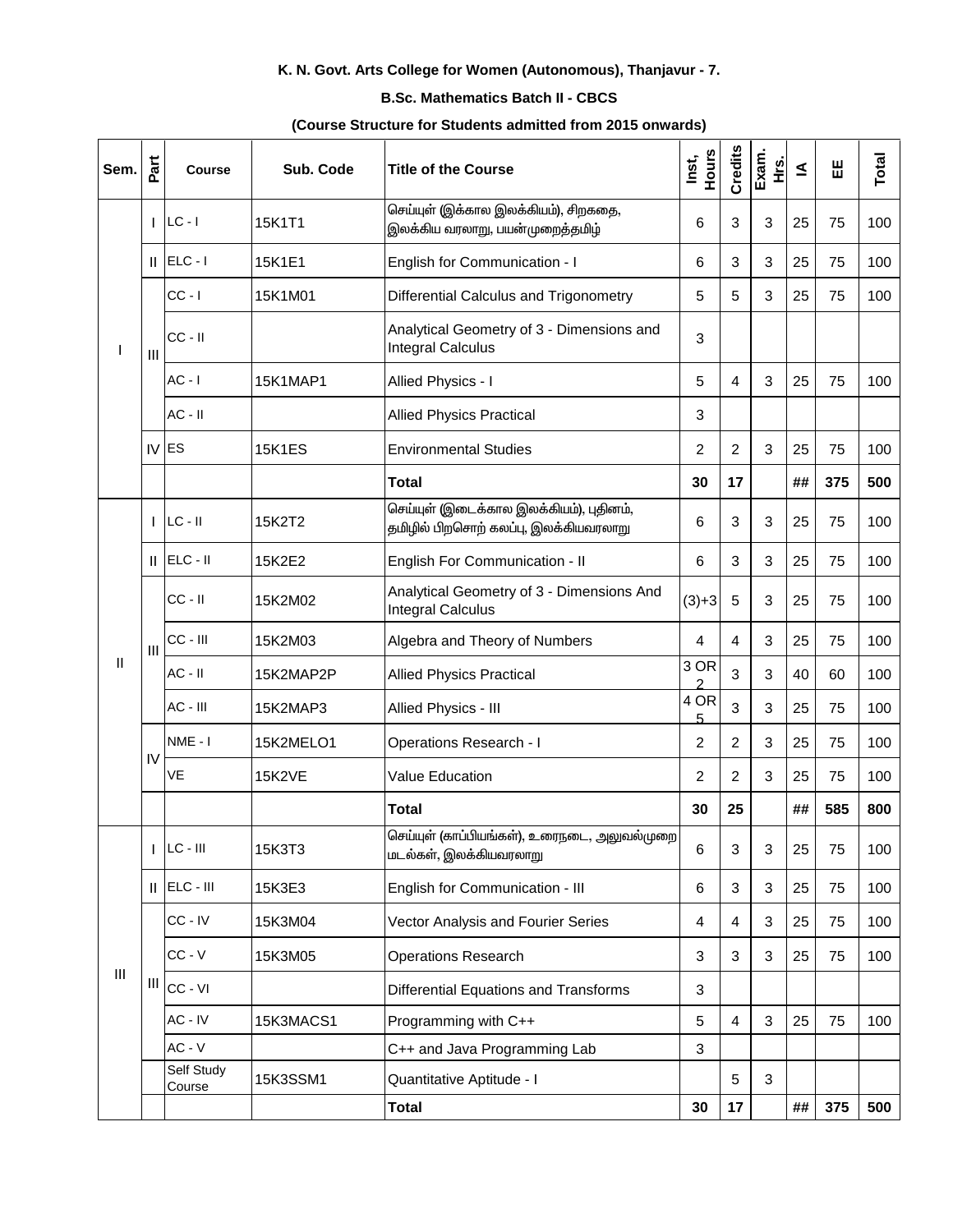# K. N. Govt. Arts College for Women (Autonomous), Thanjavur - 7.

### **B.Sc. Mathematics Batch II - CBCS**

#### (Course Structure for Students admitted from 2015 onwards)

| Sem.           | Part           | <b>Course</b>        | Sub. Code     | Title of the Course                                                              | Hours<br>Inst, | Credits    | Exam.<br>غ<br>± | ≤  | 出   | Total |
|----------------|----------------|----------------------|---------------|----------------------------------------------------------------------------------|----------------|------------|-----------------|----|-----|-------|
|                | T              | $LC - I$             | 15K1T1        | செய்யுள் (இக்கால இலக்கியம்), சிறகதை,<br>இலக்கிய வரலாறு, பயன்முறைத்தமிழ்          | 6              | 3          | 3               | 25 | 75  | 100   |
|                | Ш.             | $ ELC - I $          | 15K1E1        | English for Communication - I                                                    | 6              | 3          | 3               | 25 | 75  | 100   |
|                |                | $CC - I$             | 15K1M01       | Differential Calculus and Trigonometry                                           | 5              | 5          | 3               | 25 | 75  | 100   |
| J.             | $\mathbf{III}$ | $CC - II$            |               | Analytical Geometry of 3 - Dimensions and<br><b>Integral Calculus</b>            | 3              |            |                 |    |     |       |
|                |                | $AC - I$             | 15K1MAP1      | Allied Physics - I                                                               | 5              | 4          | 3               | 25 | 75  | 100   |
|                |                | $AC - II$            |               | <b>Allied Physics Practical</b>                                                  | 3              |            |                 |    |     |       |
|                |                | $IV$ ES              | <b>15K1ES</b> | <b>Environmental Studies</b>                                                     | 2              | 2          | 3               | 25 | 75  | 100   |
|                |                |                      |               | <b>Total</b>                                                                     | 30             | 17         |                 | ## | 375 | 500   |
|                | T              | $LC - II$            | 15K2T2        | செய்யுள் (இடைக்கால இலக்கியம்), புதினம்,<br>தமிழில் பிறசொற் கலப்பு, இலக்கியவரலாறு | 6              | 3          | 3               | 25 | 75  | 100   |
|                | Ш              | ELC - II             | 15K2E2        | English For Communication - II                                                   | 6              | 3          | 3               | 25 | 75  | 100   |
|                |                | CC - II              | 15K2M02       | Analytical Geometry of 3 - Dimensions And<br><b>Integral Calculus</b>            | $(3)+3$        | 5          | 3               | 25 | 75  | 100   |
|                | $\mathbf{III}$ | CC - III             | 15K2M03       | Algebra and Theory of Numbers                                                    | 4              | 4          | 3               | 25 | 75  | 100   |
| $\mathsf{I}$   |                | $AC - II$            | 15K2MAP2P     | <b>Allied Physics Practical</b>                                                  | 3 OR<br>っ      | 3          | 3               | 40 | 60  | 100   |
|                |                | AC - III             | 15K2MAP3      | Allied Physics - III                                                             | 4 OR<br>5      | 3          | 3               | 25 | 75  | 100   |
|                |                | $NME - I$            | 15K2MELO1     | <b>Operations Research - I</b>                                                   | 2              | 2          | 3               | 25 | 75  | 100   |
|                | IV             | VE                   | <b>15K2VE</b> | Value Education                                                                  | 2              | 2          | 3               | 25 | 75  | 100   |
|                |                |                      |               | <b>Total</b>                                                                     | 30             | 25         |                 | ## | 585 | 800   |
|                |                | $LC - III$           | 15K3T3        | செய்யுள் (காப்பியங்கள்), உரைநடை, அலுவல்முறை<br>மடல்கள், இலக்கியவரலாறு            | 6              | 3          | $\mathbf{3}$    | 25 | 75  | 100   |
|                | Ш              | ELC - III            | 15K3E3        | English for Communication - III                                                  | 6              | 3          | 3               | 25 | 75  | 100   |
|                |                | CC - IV              | 15K3M04       | Vector Analysis and Fourier Series                                               | $\overline{4}$ | 4          | 3               | 25 | 75  | 100   |
|                |                | $CC - V$             | 15K3M05       | <b>Operations Research</b>                                                       | 3              | $\sqrt{3}$ | 3               | 25 | 75  | 100   |
| $\mathbf{III}$ | Ш              | CC - VI              |               | <b>Differential Equations and Transforms</b>                                     | 3              |            |                 |    |     |       |
|                |                | AC - IV              | 15K3MACS1     | Programming with C++                                                             | 5              | 4          | 3               | 25 | 75  | 100   |
|                |                | $AC - V$             |               | C++ and Java Programming Lab                                                     | $\sqrt{3}$     |            |                 |    |     |       |
|                |                | Self Study<br>Course | 15K3SSM1      | Quantitative Aptitude - I                                                        |                | 5          | 3               |    |     |       |
|                |                |                      |               | <b>Total</b>                                                                     | 30             | 17         |                 | ## | 375 | 500   |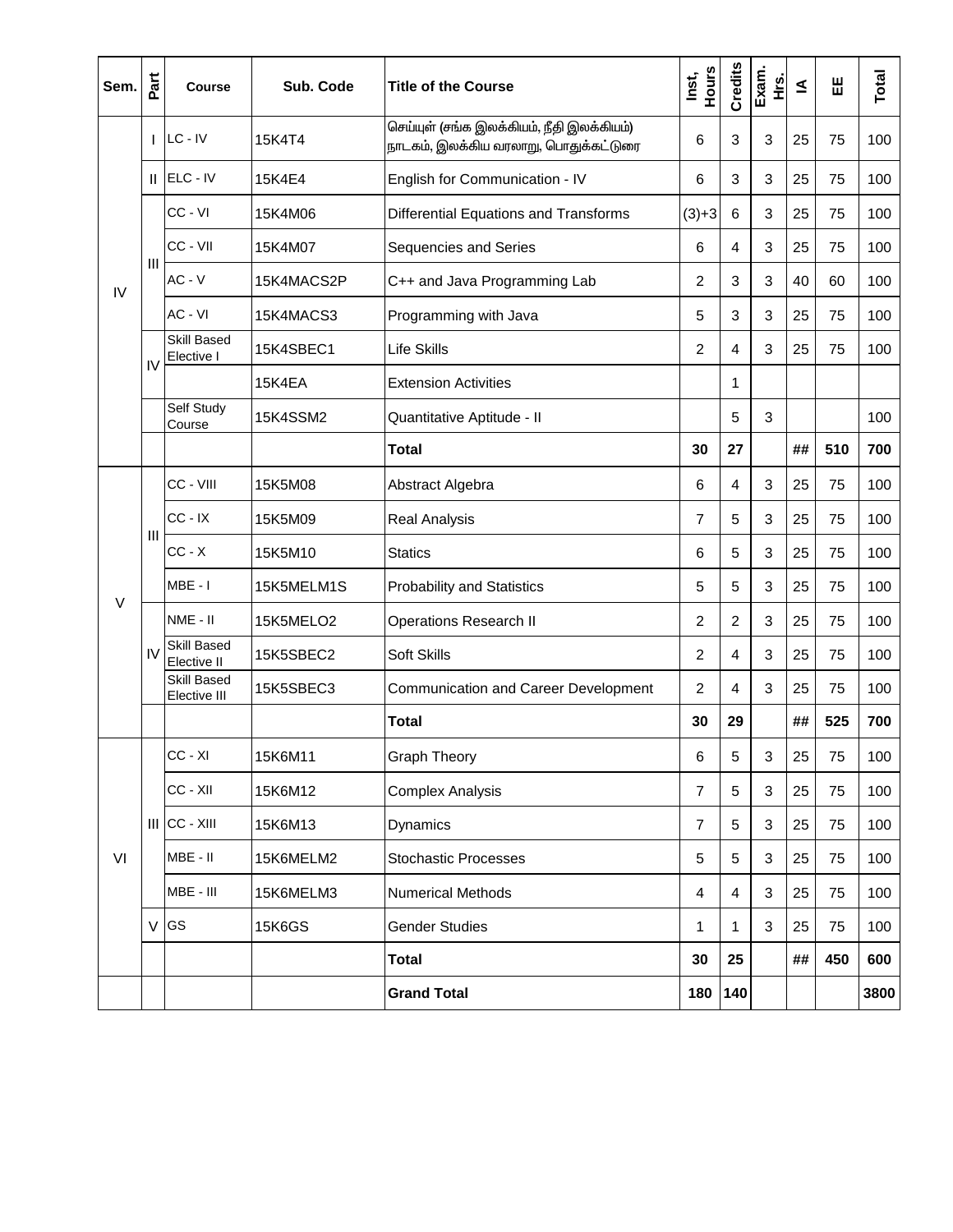| Sem. | Part          | <b>Course</b>               | Sub. Code     | <b>Title of the Course</b>                                                         | Hours<br>Inst, | Credits                 | Exam.<br>غ<br>± | ≤  | Ш   | Total |
|------|---------------|-----------------------------|---------------|------------------------------------------------------------------------------------|----------------|-------------------------|-----------------|----|-----|-------|
|      |               | $ $ LC - IV                 | 15K4T4        | செய்யுள் (சங்க இலக்கியம், நீதி இலக்கியம்)<br>நாடகம், இலக்கிய வரலாறு, பொதுக்கட்டுரை | 6              | 3                       | 3               | 25 | 75  | 100   |
|      |               | $  $ ELC - IV               | 15K4E4        | English for Communication - IV                                                     | 6              | 3                       | 3               | 25 | 75  | 100   |
|      |               | CC - VI                     | 15K4M06       | Differential Equations and Transforms                                              | $(3)+3$        | 6                       | 3               | 25 | 75  | 100   |
|      |               | CC - VII                    | 15K4M07       | Sequencies and Series                                                              | 6              | 4                       | 3               | 25 | 75  | 100   |
| IV   | Ш             | $AC - V$                    | 15K4MACS2P    | C++ and Java Programming Lab                                                       | 2              | 3                       | 3               | 40 | 60  | 100   |
|      |               | AC - VI                     | 15K4MACS3     | Programming with Java                                                              | 5              | 3                       | 3               | 25 | 75  | 100   |
|      |               | Skill Based<br>Elective I   | 15K4SBEC1     | Life Skills                                                                        | 2              | 4                       | 3               | 25 | 75  | 100   |
|      | IV            |                             | 15K4EA        | <b>Extension Activities</b>                                                        |                | 1                       |                 |    |     |       |
|      |               | Self Study<br>Course        | 15K4SSM2      | Quantitative Aptitude - II                                                         |                | 5                       | 3               |    |     | 100   |
|      |               |                             |               | <b>Total</b>                                                                       | 30             | 27                      |                 | ## | 510 | 700   |
|      | Ш             | CC - VIII                   | 15K5M08       | Abstract Algebra                                                                   | 6              | 4                       | 3               | 25 | 75  | 100   |
|      |               | $CC - IX$                   | 15K5M09       | <b>Real Analysis</b>                                                               | 7              | 5                       | 3               | 25 | 75  | 100   |
|      |               | $CC - X$                    | 15K5M10       | <b>Statics</b>                                                                     | 6              | 5                       | 3               | 25 | 75  | 100   |
|      |               | MBE - I                     | 15K5MELM1S    | <b>Probability and Statistics</b>                                                  | 5              | 5                       | 3               | 25 | 75  | 100   |
| V    | $\mathsf{IV}$ | NME - II                    | 15K5MELO2     | <b>Operations Research II</b>                                                      | 2              | $\overline{2}$          | 3               | 25 | 75  | 100   |
|      |               | Skill Based<br>Elective II  | 15K5SBEC2     | Soft Skills                                                                        | $\overline{c}$ | 4                       | 3               | 25 | 75  | 100   |
|      |               | Skill Based<br>Elective III | 15K5SBEC3     | <b>Communication and Career Development</b>                                        | 2              | 4                       | 3               | 25 | 75  | 100   |
|      |               |                             |               | <b>Total</b>                                                                       | 30             | 29                      |                 | ## | 525 | 700   |
|      |               | CC - XI                     | 15K6M11       | <b>Graph Theory</b>                                                                | 6              | 5                       | 3               | 25 | 75  | 100   |
|      |               | CC - XII                    | 15K6M12       | <b>Complex Analysis</b>                                                            | 7              | 5                       | 3               | 25 | 75  | 100   |
|      |               | $III$ CC - $XIII$           | 15K6M13       | Dynamics                                                                           | 7              | 5                       | 3               | 25 | 75  | 100   |
| VI   |               | MBE - II                    | 15K6MELM2     | <b>Stochastic Processes</b>                                                        | 5              | 5                       | 3               | 25 | 75  | 100   |
|      |               | MBE - III                   | 15K6MELM3     | <b>Numerical Methods</b>                                                           | 4              | $\overline{\mathbf{4}}$ | $\mathfrak{S}$  | 25 | 75  | 100   |
|      |               | V GS                        | <b>15K6GS</b> | <b>Gender Studies</b>                                                              | 1              | 1                       | $\mathbf{3}$    | 25 | 75  | 100   |
|      |               |                             |               | <b>Total</b>                                                                       | 30             | 25                      |                 | ## | 450 | 600   |
|      |               |                             |               | <b>Grand Total</b>                                                                 | 180            | 140                     |                 |    |     | 3800  |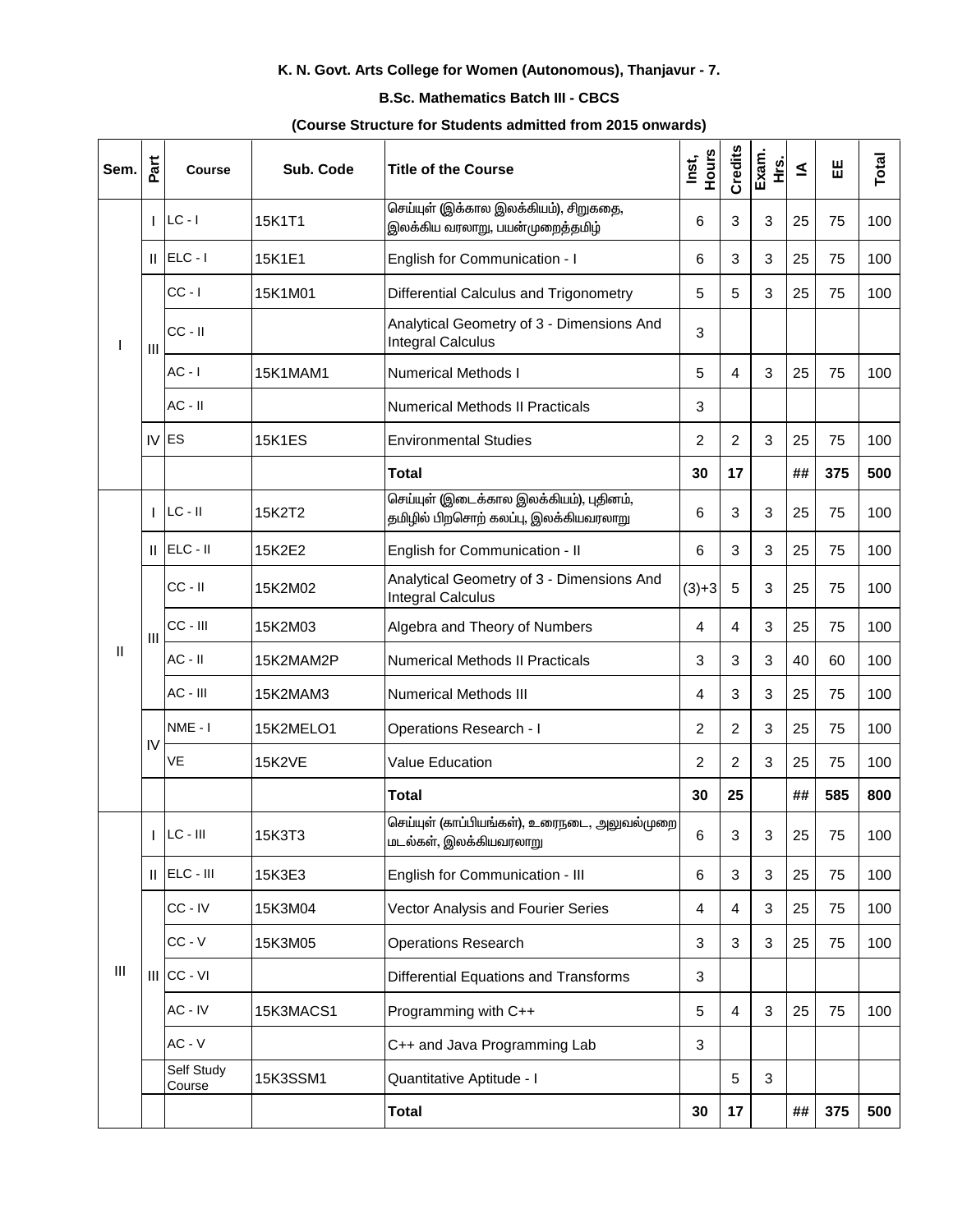# K. N. Govt. Arts College for Women (Autonomous), Thanjavur - 7.

### **B.Sc. Mathematics Batch III - CBCS**

#### (Course Structure for Students admitted from 2015 onwards)

| Sem. | Part           | <b>Course</b>        | Sub. Code       | Title of the Course                                                              | <b>Hours</b><br>Inst, | Credits        | Exam.<br>غ<br>± | ₹  | Ш   | Total |
|------|----------------|----------------------|-----------------|----------------------------------------------------------------------------------|-----------------------|----------------|-----------------|----|-----|-------|
|      | I              | $LC - I$             | 15K1T1          | செய்யுள் (இக்கால இலக்கியம்), சிறுகதை,<br>இலக்கிய வரலாறு, பயன்முறைத்தமிழ்         | 6                     | 3              | 3               | 25 | 75  | 100   |
|      | Ш              | $ELC - I$            | 15K1E1          | English for Communication - I                                                    | 6                     | 3              | 3               | 25 | 75  | 100   |
|      |                | $CC - I$             | 15K1M01         | Differential Calculus and Trigonometry                                           | $\overline{5}$        | 5              | 3               | 25 | 75  | 100   |
|      | $\mathbf{III}$ | CC - II              |                 | Analytical Geometry of 3 - Dimensions And<br><b>Integral Calculus</b>            | 3                     |                |                 |    |     |       |
|      |                | $AC - I$             | <b>15K1MAM1</b> | <b>Numerical Methods I</b>                                                       | $\overline{5}$        | 4              | 3               | 25 | 75  | 100   |
|      |                | $AC - II$            |                 | <b>Numerical Methods II Practicals</b>                                           | 3                     |                |                 |    |     |       |
|      | IV             | <b>ES</b>            | <b>15K1ES</b>   | <b>Environmental Studies</b>                                                     | $\overline{2}$        | $\overline{2}$ | 3               | 25 | 75  | 100   |
|      |                |                      |                 | <b>Total</b>                                                                     | 30                    | 17             |                 | ## | 375 | 500   |
|      | ı              | $LC - II$            | 15K2T2          | செய்யுள் (இடைக்கால இலக்கியம்), புதினம்,<br>தமிழில் பிறசொற் கலப்பு, இலக்கியவரலாறு | 6                     | 3              | 3               | 25 | 75  | 100   |
|      | Ш              | ELC - II             | 15K2E2          | English for Communication - II                                                   | 6                     | 3              | 3               | 25 | 75  | 100   |
|      |                | $CC - II$            | 15K2M02         | Analytical Geometry of 3 - Dimensions And<br><b>Integral Calculus</b>            | $(3)+3$               | $\overline{5}$ | 3               | 25 | 75  | 100   |
|      | $\mathbf{III}$ | CC - III             | 15K2M03         | Algebra and Theory of Numbers                                                    | $\overline{4}$        | 4              | 3               | 25 | 75  | 100   |
| Ш    |                | $AC - II$            | 15K2MAM2P       | <b>Numerical Methods II Practicals</b>                                           | $\sqrt{3}$            | 3              | 3               | 40 | 60  | 100   |
|      |                | $AC - III$           | 15K2MAM3        | <b>Numerical Methods III</b>                                                     | 4                     | 3              | 3               | 25 | 75  | 100   |
|      |                | NME-I                | 15K2MELO1       | <b>Operations Research - I</b>                                                   | 2                     | $\overline{2}$ | 3               | 25 | 75  | 100   |
|      | IV             | VE                   | <b>15K2VE</b>   | <b>Value Education</b>                                                           | 2                     | $\overline{2}$ | 3               | 25 | 75  | 100   |
|      |                |                      |                 | <b>Total</b>                                                                     | 30                    | 25             |                 | ## | 585 | 800   |
|      |                | $LC - III$           | 15K3T3          | செய்யுள் (காப்பியங்கள்), உரைநடை, அலுவல்முறை<br>மடல்கள், இலக்கியவரலாறு            | 6                     | 3              | 3               | 25 | 75  | 100   |
|      | Ш.             | ELC - III            | 15K3E3          | English for Communication - III                                                  | 6                     | 3              | $\mathbf{3}$    | 25 | 75  | 100   |
|      |                | CC-IV                | 15K3M04         | Vector Analysis and Fourier Series                                               | 4                     | 4              | 3               | 25 | 75  | 100   |
|      |                | $CC - V$             | 15K3M05         | <b>Operations Research</b>                                                       | 3                     | 3              | 3               | 25 | 75  | 100   |
| Ш    | III            | CC - VI              |                 | <b>Differential Equations and Transforms</b>                                     | $\mathbf{3}$          |                |                 |    |     |       |
|      |                | AC - IV              | 15K3MACS1       | Programming with C++                                                             | 5                     | $\overline{4}$ | 3               | 25 | 75  | 100   |
|      |                | $AC - V$             |                 | C++ and Java Programming Lab                                                     | 3                     |                |                 |    |     |       |
|      |                | Self Study<br>Course | 15K3SSM1        | Quantitative Aptitude - I                                                        |                       | 5              | 3               |    |     |       |
|      |                |                      |                 | Total                                                                            | 30                    | 17             |                 | ## | 375 | 500   |